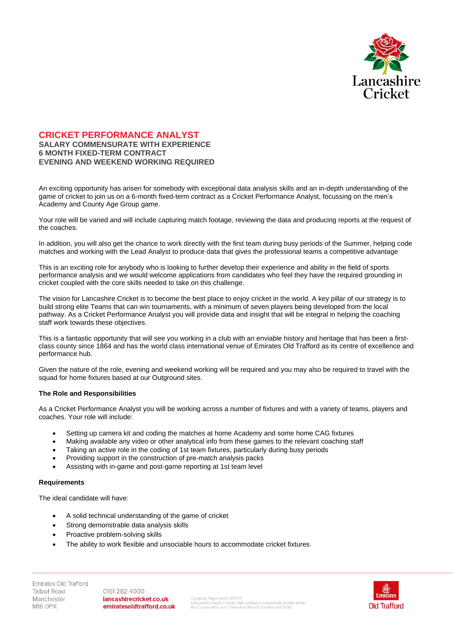

# **CRICKET PERFORMANCE ANALYST SALARY COMMENSURATE WITH EXPERIENCE 6 MONTH FIXED-TERM CONTRACT EVENING AND WEEKEND WORKING REQUIRED**

An exciting opportunity has arisen for somebody with exceptional data analysis skills and an in-depth understanding of the game of cricket to join us on a 6-month fixed-term contract as a Cricket Performance Analyst, focussing on the men's Academy and County Age Group game.

Your role will be varied and will include capturing match footage, reviewing the data and producing reports at the request of the coaches.

In addition, you will also get the chance to work directly with the first team during busy periods of the Summer, helping code matches and working with the Lead Analyst to produce data that gives the professional teams a competitive advantage

This is an exciting role for anybody who is looking to further develop their experience and ability in the field of sports performance analysis and we would welcome applications from candidates who feel they have the required grounding in cricket coupled with the core skills needed to take on this challenge.

The vision for Lancashire Cricket is to become the best place to enjoy cricket in the world. A key pillar of our strategy is to build strong elite Teams that can win tournaments, with a minimum of seven players being developed from the local pathway. As a Cricket Performance Analyst you will provide data and insight that will be integral in helping the coaching staff work towards these objectives.

This is a fantastic opportunity that will see you working in a club with an enviable history and heritage that has been a firstclass county since 1864 and has the world class international venue of Emirates Old Trafford as its centre of excellence and performance hub.

Given the nature of the role, evening and weekend working will be required and you may also be required to travel with the squad for home fixtures based at our Outground sites.

# **The Role and Responsibilities**

As a Cricket Performance Analyst you will be working across a number of fixtures and with a variety of teams, players and coaches. Your role will include:

- Setting up camera kit and coding the matches at home Academy and some home CAG fixtures
- Making available any video or other analytical info from these games to the relevant coaching staff
- Taking an active role in the coding of 1st team fixtures, particularly during busy periods
- Providing support in the construction of pre-match analysis packs
- Assisting with in-game and post-game reporting at 1st team level

#### **Requirements**

The ideal candidate will have:

- A solid technical understanding of the game of cricket
- Strong demonstrable data analysis skills
- Proactive problem-solving skills
- The ability to work flexible and unsociable hours to accommodate cricket fixtures

Emirates Old Trafford **Talbot Road** Manchester M16 OPX

0161 282 4000 lancashirecricket.co.uk emiratesoldtrafford.co.uk

Company Registration: 28451R<br>Lancashire County Cricket Club Limited is a registered society under<br>the Co-operative and Community Benefit Societies Act 2014.